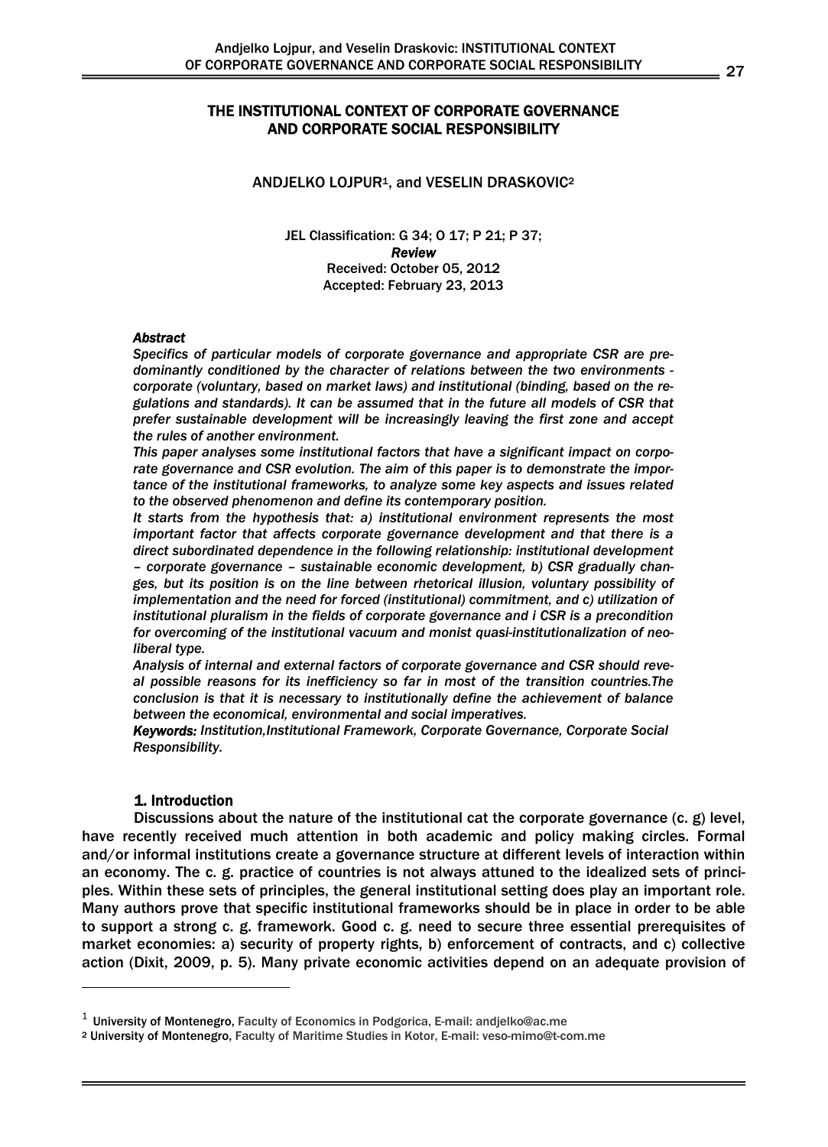# THE INSTITUTIONAL CONTEXT OF CORPORATE GOVERNANCE AND CORPORATE SOCIAL RESPONSIBILITY

#### ANDJELKO LOJPUR<sup>1</sup>, and VESELIN DRASKOVIC<sup>2</sup>

JEL Classification: G 34; O 17; P 21; P 37; *Review*  Received: October 05, 2012 Accepted: February 23, 2013

#### *Abstract*

*Specifics of particular models of corporate governance and appropriate CSR are predominantly conditioned by the character of relations between the two environments corporate (voluntary, based on market laws) and institutional (binding, based on the regulations and standards). It can be assumed that in the future all models of CSR that prefer sustainable development will be increasingly leaving the first zone and accept the rules of another environment.* 

*This paper analyses some institutional factors that have a significant impact on corporate governance and CSR evolution. The aim of this paper is to demonstrate the importance of the institutional frameworks, to analyze some key aspects and issues related to the observed phenomenon and define its contemporary position.* 

*It starts from the hypothesis that: a) institutional environment represents the most important factor that affects corporate governance development and that there is a direct subordinated dependence in the following relationship: institutional development – corporate governance – sustainable economic development, b) CSR gradually changes, but its position is on the line between rhetorical illusion, voluntary possibility of implementation and the need for forced (institutional) commitment, and c) utilization of institutional pluralism in the fields of corporate governance and i CSR is a precondition for overcoming of the institutional vacuum and monist quasi-institutionalization of neoliberal type.* 

*Analysis of internal and external factors of corporate governance and CSR should reveal possible reasons for its inefficiency so far in most of the transition countries.The conclusion is that it is necessary to institutionally define the achievement of balance between the economical, environmental and social imperatives.* 

*Keywords: Institution,Institutional Framework, Corporate Governance, Corporate Social Responsibility.*

#### 1. Introduction

-

Discussions about the nature of the institutional cat the corporate governance  $(c, g)$  level, have recently received much attention in both academic and policy making circles. Formal and/or informal institutions create a governance structure at different levels of interaction within an economy. The c. g. practice of countries is not always attuned to the idealized sets of principles. Within these sets of principles, the general institutional setting does play an important role. Many authors prove that specific institutional frameworks should be in place in order to be able to support a strong c. g. framework. Good c. g. need to secure three essential prerequisites of market economies: a) security of property rights, b) enforcement of contracts, and c) collective action (Dixit, 2009, p. 5). Many private economic activities depend on an adequate provision of

 $1$  University of Montenegro, Faculty of Economics in Podgorica, E-mail: andjelko@ac.me

<sup>2</sup> University of Montenegro, Faculty of Maritime Studies in Kotor, E-mail: veso-mimo@t-com.me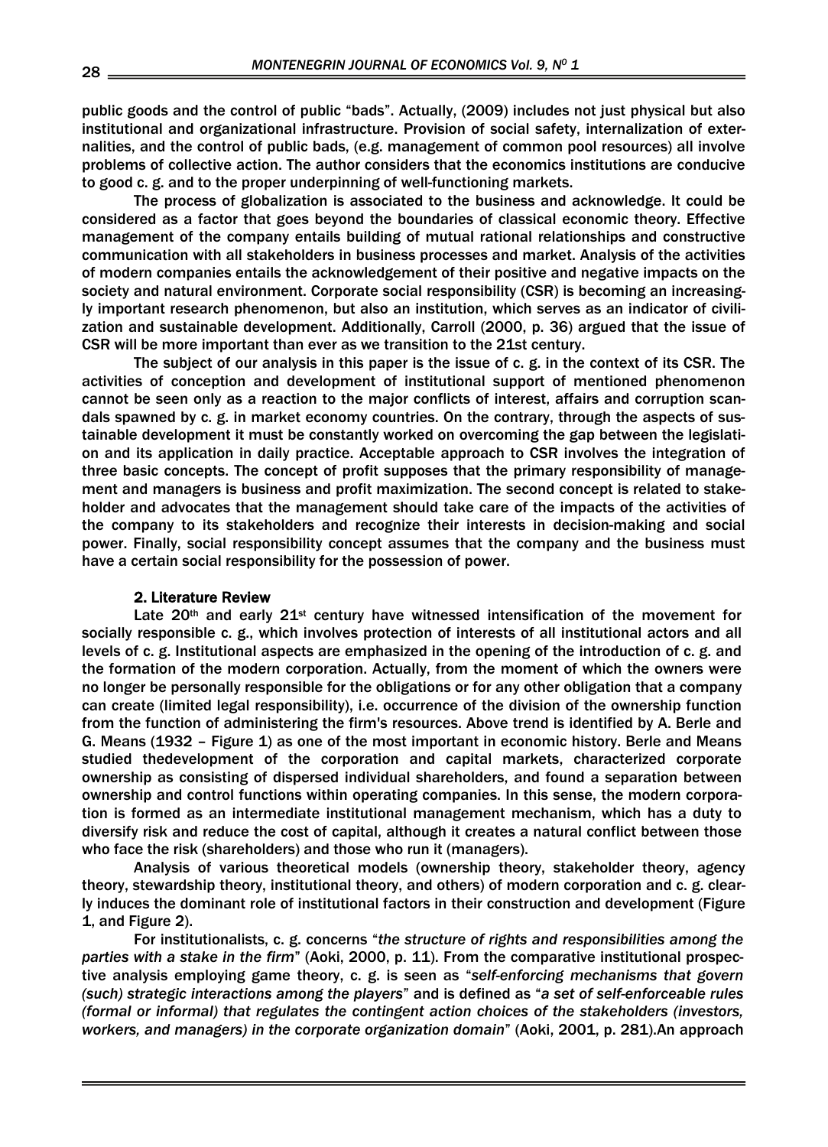public goods and the control of public "bads". Actually, (2009) includes not just physical but also institutional and organizational infrastructure. Provision of social safety, internalization of externalities, and the control of public bads, (e.g. management of common pool resources) all involve problems of collective action. The author considers that the economics institutions are conducive to good c. g. and to the proper underpinning of well-functioning markets.

The process of globalization is associated to the business and acknowledge. It could be considered as a factor that goes beyond the boundaries of classical economic theory. Effective management of the company entails building of mutual rational relationships and constructive communication with all stakeholders in business processes and market. Analysis of the activities of modern companies entails the acknowledgement of their positive and negative impacts on the society and natural environment. Corporate social responsibility (CSR) is becoming an increasingly important research phenomenon, but also an institution, which serves as an indicator of civilization and sustainable development. Additionally, Carroll (2000, p. 36) argued that the issue of CSR will be more important than ever as we transition to the 21st century.

The subject of our analysis in this paper is the issue of c. g. in the context of its CSR. The activities of conception and development of institutional support of mentioned phenomenon cannot be seen only as a reaction to the major conflicts of interest, affairs and corruption scandals spawned by c. g. in market economy countries. On the contrary, through the aspects of sustainable development it must be constantly worked on overcoming the gap between the legislation and its application in daily practice. Acceptable approach to CSR involves the integration of three basic concepts. The concept of profit supposes that the primary responsibility of management and managers is business and profit maximization. The second concept is related to stakeholder and advocates that the management should take care of the impacts of the activities of the company to its stakeholders and recognize their interests in decision-making and social power. Finally, social responsibility concept assumes that the company and the business must have a certain social responsibility for the possession of power.

#### 2. Literature Review

Late  $20<sup>th</sup>$  and early  $21<sup>st</sup>$  century have witnessed intensification of the movement for socially responsible c. g., which involves protection of interests of all institutional actors and all levels of c. g. Institutional aspects are emphasized in the opening of the introduction of c. g. and the formation of the modern corporation. Actually, from the moment of which the owners were no longer be personally responsible for the obligations or for any other obligation that a company can create (limited legal responsibility), i.e. occurrence of the division of the ownership function from the function of administering the firm's resources. Above trend is identified by A. Berle and G. Means (1932 – Figure 1) as one of the most important in economic history. Berle and Means studied thedevelopment of the corporation and capital markets, characterized corporate ownership as consisting of dispersed individual shareholders, and found a separation between ownership and control functions within operating companies. In this sense, the modern corporation is formed as an intermediate institutional management mechanism, which has a duty to diversify risk and reduce the cost of capital, although it creates a natural conflict between those who face the risk (shareholders) and those who run it (managers).

Analysis of various theoretical models (ownership theory, stakeholder theory, agency theory, stewardship theory, institutional theory, and others) of modern corporation and c. g. clearly induces the dominant role of institutional factors in their construction and development (Figure 1, and Figure 2).

For institutionalists, c. g. concerns "*the structure of rights and responsibilities among the parties with a stake in the firm*" (Aoki, 2000, p. 11). From the comparative institutional prospective analysis employing game theory, c. g. is seen as "*self-enforcing mechanisms that govern (such) strategic interactions among the players*" and is defined as "*a set of self-enforceable rules (formal or informal) that regulates the contingent action choices of the stakeholders (investors, workers, and managers) in the corporate organization domain*" (Aoki, 2001, p. 281).An approach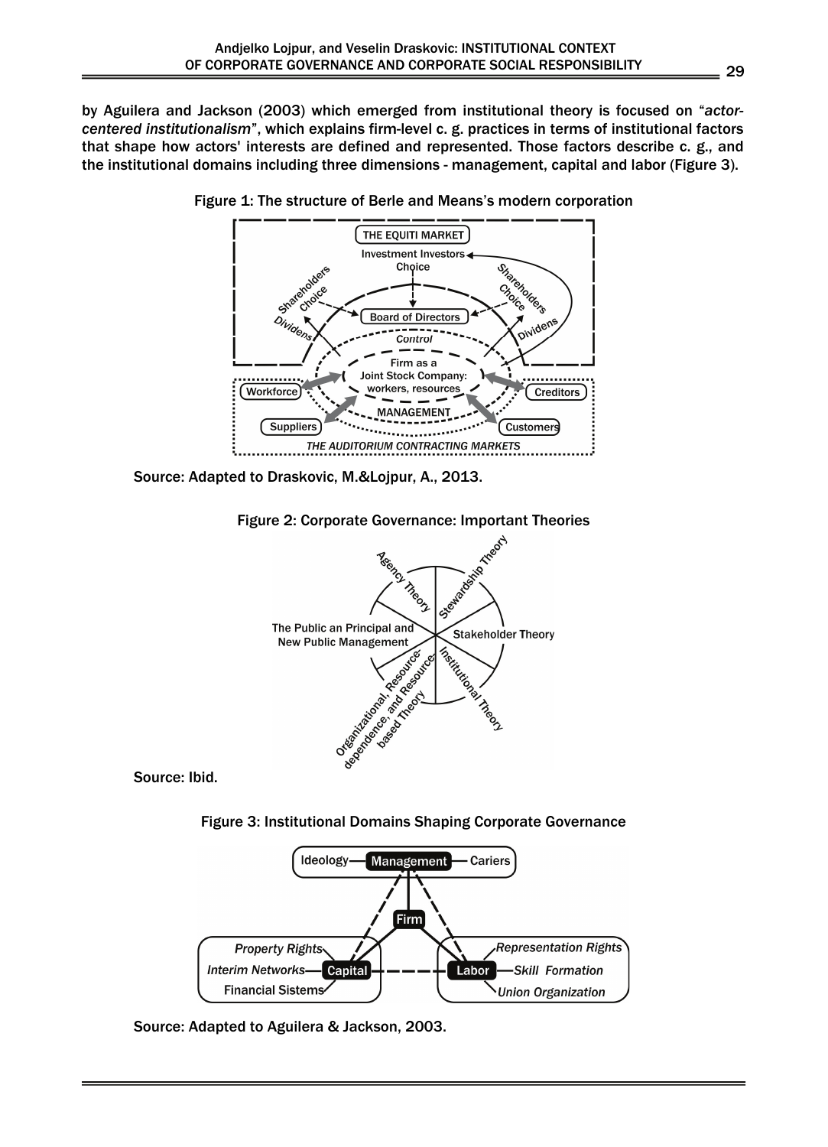by Aguilera and Jackson (2003) which emerged from institutional theory is focused on "*actorcentered institutionalism*", which explains firm-level c. g. practices in terms of institutional factors that shape how actors' interests are defined and represented. Those factors describe c. g., and the institutional domains including three dimensions - management, capital and labor (Figure 3).



Figure 1: The structure of Berle and Means's modern corporation

Source: Adapted to Draskovic, M.&Lojpur, A., 2013.



Source: Ibid.





Source: Adapted to Aguilera & Jackson, 2003.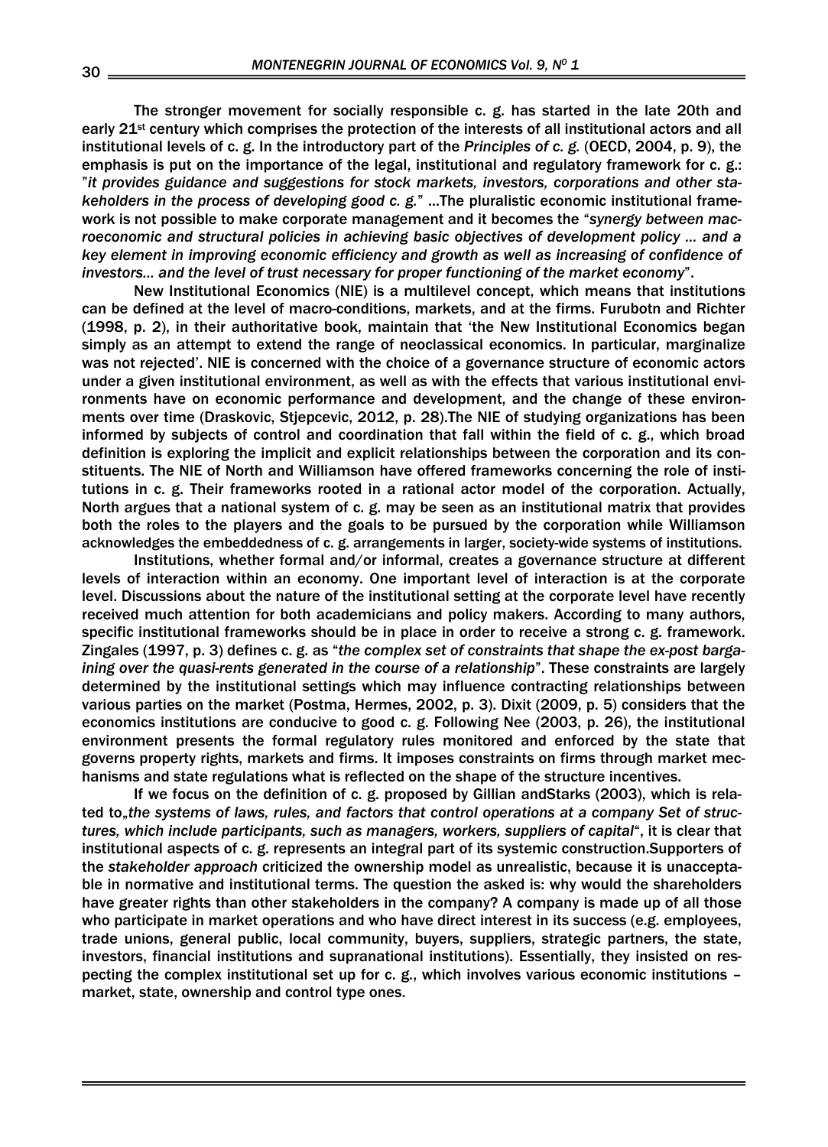The stronger movement for socially responsible c. g. has started in the late 20th and early 21st century which comprises the protection of the interests of all institutional actors and all institutional levels of c. g. In the introductory part of the *Principles of c. g.* (OECD, 2004, p. 9), the emphasis is put on the importance of the legal, institutional and regulatory framework for c. g.: "*it provides guidance and suggestions for stock markets, investors, corporations and other stakeholders in the process of developing good c. g.*" ...The pluralistic economic institutional framework is not possible to make corporate management and it becomes the "*synergy between macroeconomic and structural policies in achieving basic objectives of development policy ... and a key element in improving economic efficiency and growth as well as increasing of confidence of investors... and the level of trust necessary for proper functioning of the market economy*".

New Institutional Economics (NIE) is a multilevel concept, which means that institutions can be defined at the level of macro-conditions, markets, and at the firms. Furubotn and Richter (1998, p. 2), in their authoritative book, maintain that 'the New Institutional Economics began simply as an attempt to extend the range of neoclassical economics. In particular, marginalize was not rejected'. NIE is concerned with the choice of a governance structure of economic actors under a given institutional environment, as well as with the effects that various institutional environments have on economic performance and development, and the change of these environments over time (Draskovic, Stjepcevic, 2012, p. 28).The NIE of studying organizations has been informed by subjects of control and coordination that fall within the field of c. g., which broad definition is exploring the implicit and explicit relationships between the corporation and its constituents. The NIE of North and Williamson have offered frameworks concerning the role of institutions in c. g. Their frameworks rooted in a rational actor model of the corporation. Actually, North argues that a national system of c. g. may be seen as an institutional matrix that provides both the roles to the players and the goals to be pursued by the corporation while Williamson acknowledges the embeddedness of c. g. arrangements in larger, society-wide systems of institutions.

Institutions, whether formal and/or informal, creates a governance structure at different levels of interaction within an economy. One important level of interaction is at the corporate level. Discussions about the nature of the institutional setting at the corporate level have recently received much attention for both academicians and policy makers. According to many authors, specific institutional frameworks should be in place in order to receive a strong c. g. framework. Zingales (1997, p. 3) defines c. g. as "*the complex set of constraints that shape the ex-post bargaining over the quasi-rents generated in the course of a relationship*". These constraints are largely determined by the institutional settings which may influence contracting relationships between various parties on the market (Postma, Hermes, 2002, p. 3). Dixit (2009, p. 5) considers that the economics institutions are conducive to good c. g. Following Nee (2003, p. 26), the institutional environment presents the formal regulatory rules monitored and enforced by the state that governs property rights, markets and firms. It imposes constraints on firms through market mechanisms and state regulations what is reflected on the shape of the structure incentives.

If we focus on the definition of c. g. proposed by Gillian andStarks (2003), which is related to<sub>n</sub>the systems of laws, rules, and factors that control operations at a company Set of struc*tures, which include participants, such as managers, workers, suppliers of capital*", it is clear that institutional aspects of c. g. represents an integral part of its systemic construction.Supporters of the *stakeholder approach* criticized the ownership model as unrealistic, because it is unacceptable in normative and institutional terms. The question the asked is: why would the shareholders have greater rights than other stakeholders in the company? A company is made up of all those who participate in market operations and who have direct interest in its success (e.g. employees, trade unions, general public, local community, buyers, suppliers, strategic partners, the state, investors, financial institutions and supranational institutions). Essentially, they insisted on respecting the complex institutional set up for c. g., which involves various economic institutions – market, state, ownership and control type ones.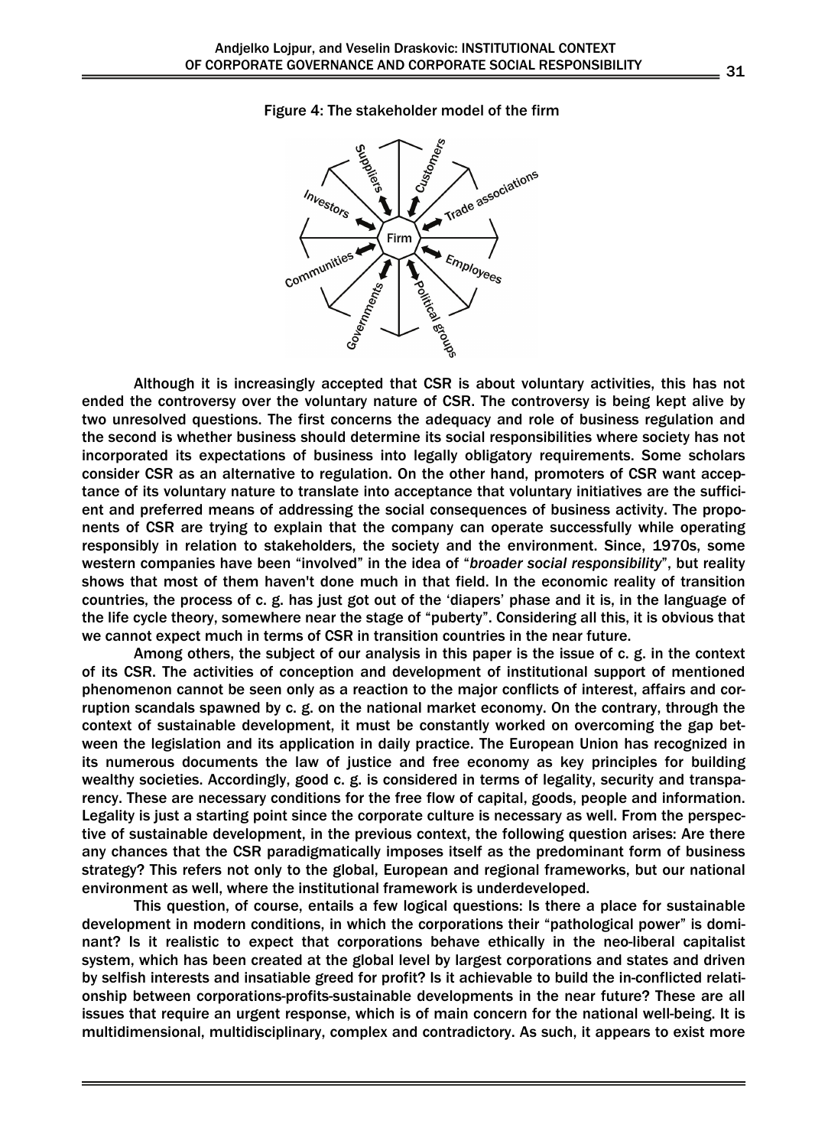

#### Figure 4: The stakeholder model of the firm

Although it is increasingly accepted that CSR is about voluntary activities, this has not ended the controversy over the voluntary nature of CSR. The controversy is being kept alive by two unresolved questions. The first concerns the adequacy and role of business regulation and the second is whether business should determine its social responsibilities where society has not incorporated its expectations of business into legally obligatory requirements. Some scholars consider CSR as an alternative to regulation. On the other hand, promoters of CSR want acceptance of its voluntary nature to translate into acceptance that voluntary initiatives are the sufficient and preferred means of addressing the social consequences of business activity. The proponents of CSR are trying to explain that the company can operate successfully while operating responsibly in relation to stakeholders, the society and the environment. Since, 1970s, some western companies have been "involved" in the idea of "*broader social responsibility*", but reality shows that most of them haven't done much in that field. In the economic reality of transition countries, the process of c. g. has just got out of the 'diapers' phase and it is, in the language of the life cycle theory, somewhere near the stage of "puberty". Considering all this, it is obvious that we cannot expect much in terms of CSR in transition countries in the near future.

Among others, the subject of our analysis in this paper is the issue of c. g. in the context of its CSR. The activities of conception and development of institutional support of mentioned phenomenon cannot be seen only as a reaction to the major conflicts of interest, affairs and corruption scandals spawned by c. g. on the national market economy. On the contrary, through the context of sustainable development, it must be constantly worked on overcoming the gap between the legislation and its application in daily practice. The European Union has recognized in its numerous documents the law of justice and free economy as key principles for building wealthy societies. Accordingly, good c. g. is considered in terms of legality, security and transparency. These are necessary conditions for the free flow of capital, goods, people and information. Legality is just a starting point since the corporate culture is necessary as well. From the perspective of sustainable development, in the previous context, the following question arises: Are there any chances that the CSR paradigmatically imposes itself as the predominant form of business strategy? This refers not only to the global, European and regional frameworks, but our national environment as well, where the institutional framework is underdeveloped.

This question, of course, entails a few logical questions: Is there a place for sustainable development in modern conditions, in which the corporations their "pathological power" is dominant? Is it realistic to expect that corporations behave ethically in the neo-liberal capitalist system, which has been created at the global level by largest corporations and states and driven by selfish interests and insatiable greed for profit? Is it achievable to build the in-conflicted relationship between corporations-profits-sustainable developments in the near future? These are all issues that require an urgent response, which is of main concern for the national well-being. It is multidimensional, multidisciplinary, complex and contradictory. As such, it appears to exist more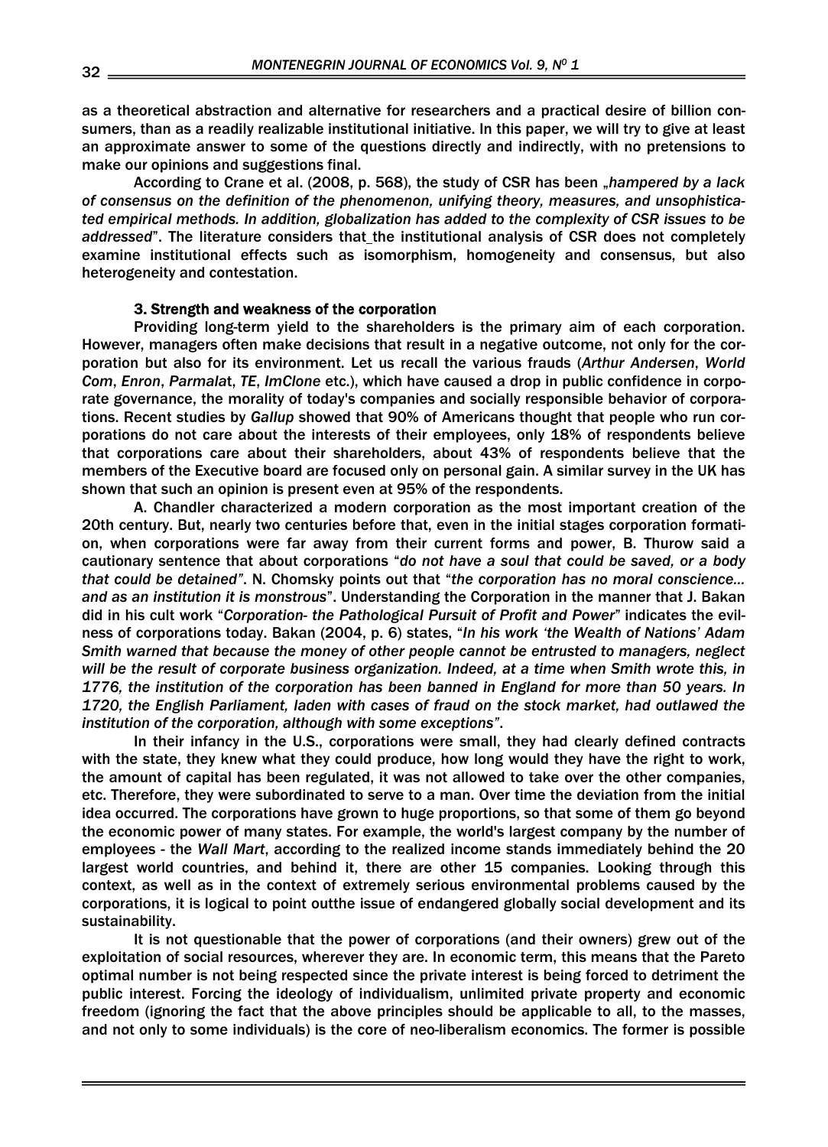as a theoretical abstraction and alternative for researchers and a practical desire of billion consumers, than as a readily realizable institutional initiative. In this paper, we will try to give at least an approximate answer to some of the questions directly and indirectly, with no pretensions to make our opinions and suggestions final.

According to Crane et al. (2008, p. 568), the study of CSR has been "hampered by a lack *of consensus on the definition of the phenomenon, unifying theory, measures, and unsophisticated empirical methods. In addition, globalization has added to the complexity of CSR issues to be addressed*". The literature considers that the institutional analysis of CSR does not completely examine institutional effects such as isomorphism, homogeneity and consensus, but also heterogeneity and contestation.

### 3. Strength and weakness of the corporation

Providing long-term yield to the shareholders is the primary aim of each corporation. However, managers often make decisions that result in a negative outcome, not only for the corporation but also for its environment. Let us recall the various frauds (*Arthur Andersen*, *World Com*, *Enron*, *Parmala*t, *TE*, *ImClone* etc.), which have caused a drop in public confidence in corporate governance, the morality of today's companies and socially responsible behavior of corporations. Recent studies by *Gallup* showed that 90% of Americans thought that people who run corporations do not care about the interests of their employees, only 18% of respondents believe that corporations care about their shareholders, about 43% of respondents believe that the members of the Executive board are focused only on personal gain. A similar survey in the UK has shown that such an opinion is present even at 95% of the respondents.

A. Chandler characterized a modern corporation as the most important creation of the 20th century. But, nearly two centuries before that, even in the initial stages corporation formation, when corporations were far away from their current forms and power, B. Thurow said a cautionary sentence that about corporations "*do not have a soul that could be saved, or a body that could be detained"*. N. Chomsky points out that "*the corporation has no moral conscience... and as an institution it is monstrous*". Understanding the Corporation in the manner that J. Bakan did in his cult work "*Corporation- the Pathological Pursuit of Profit and Power*" indicates the evilness of corporations today. Bakan (2004, p. 6) states, "*In his work 'the Wealth of Nations' Adam Smith warned that because the money of other people cannot be entrusted to managers, neglect will be the result of corporate business organization. Indeed, at a time when Smith wrote this, in 1776, the institution of the corporation has been banned in England for more than 50 years. In 1720, the English Parliament, laden with cases of fraud on the stock market, had outlawed the institution of the corporation, although with some exceptions"*.

In their infancy in the U.S., corporations were small, they had clearly defined contracts with the state, they knew what they could produce, how long would they have the right to work, the amount of capital has been regulated, it was not allowed to take over the other companies, etc. Therefore, they were subordinated to serve to a man. Over time the deviation from the initial idea occurred. The corporations have grown to huge proportions, so that some of them go beyond the economic power of many states. For example, the world's largest company by the number of employees - the *Wall Mart*, according to the realized income stands immediately behind the 20 largest world countries, and behind it, there are other 15 companies. Looking through this context, as well as in the context of extremely serious environmental problems caused by the corporations, it is logical to point outthe issue of endangered globally social development and its sustainability.

It is not questionable that the power of corporations (and their owners) grew out of the exploitation of social resources, wherever they are. In economic term, this means that the Pareto optimal number is not being respected since the private interest is being forced to detriment the public interest. Forcing the ideology of individualism, unlimited private property and economic freedom (ignoring the fact that the above principles should be applicable to all, to the masses, and not only to some individuals) is the core of neo-liberalism economics. The former is possible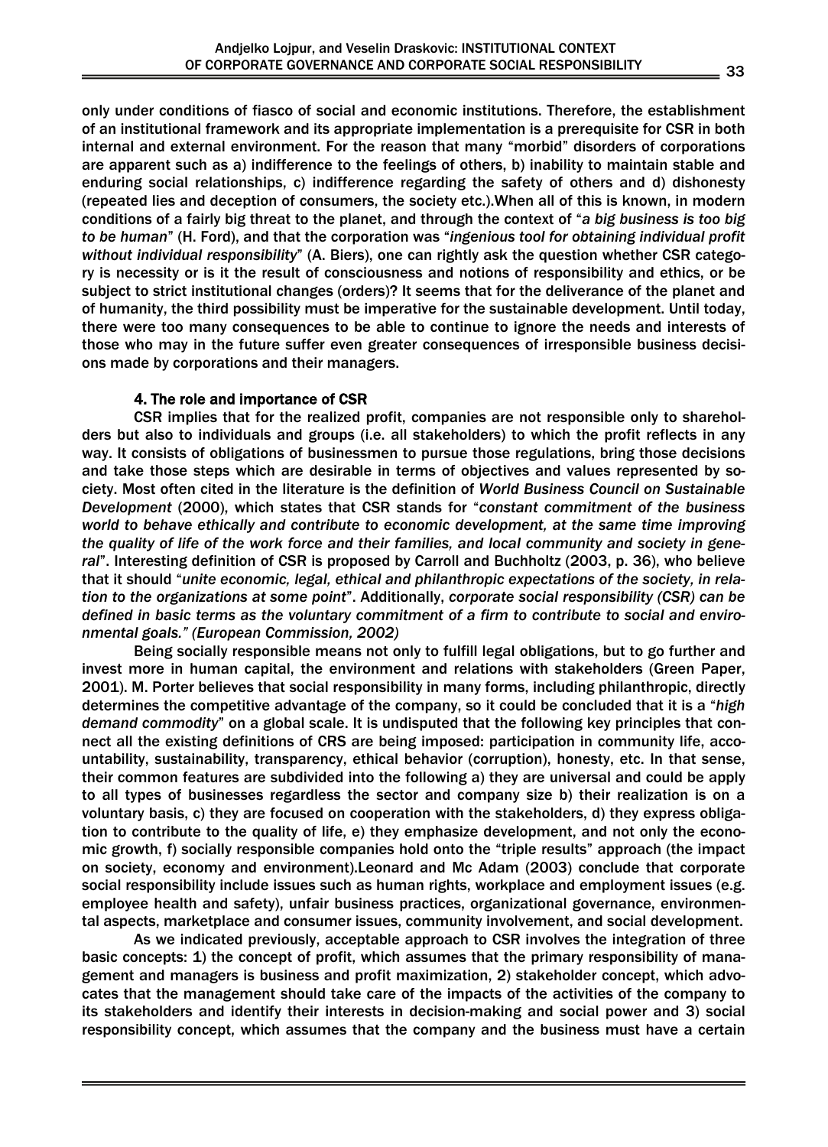only under conditions of fiasco of social and economic institutions. Therefore, the establishment of an institutional framework and its appropriate implementation is a prerequisite for CSR in both internal and external environment. For the reason that many "morbid" disorders of corporations are apparent such as a) indifference to the feelings of others, b) inability to maintain stable and enduring social relationships, c) indifference regarding the safety of others and d) dishonesty (repeated lies and deception of consumers, the society etc.).When all of this is known, in modern conditions of a fairly big threat to the planet, and through the context of "*a big business is too big to be human*" (H. Ford), and that the corporation was "*ingenious tool for obtaining individual profit without individual responsibility*" (A. Biers), one can rightly ask the question whether CSR category is necessity or is it the result of consciousness and notions of responsibility and ethics, or be subject to strict institutional changes (orders)? It seems that for the deliverance of the planet and of humanity, the third possibility must be imperative for the sustainable development. Until today, there were too many consequences to be able to continue to ignore the needs and interests of those who may in the future suffer even greater consequences of irresponsible business decisions made by corporations and their managers.

# 4. The role and importance of CSR

CSR implies that for the realized profit, companies are not responsible only to shareholders but also to individuals and groups (i.e. all stakeholders) to which the profit reflects in any way. It consists of obligations of businessmen to pursue those regulations, bring those decisions and take those steps which are desirable in terms of objectives and values represented by society. Most often cited in the literature is the definition of *World Business Council on Sustainable Development* (2000), which states that CSR stands for "*constant commitment of the business world to behave ethically and contribute to economic development, at the same time improving the quality of life of the work force and their families, and local community and society in general*". Interesting definition of CSR is proposed by Carroll and Buchholtz (2003, p. 36), who believe that it should "*unite economic, legal, ethical and philanthropic expectations of the society, in relation to the organizations at some point*". Additionally, *corporate social responsibility (CSR) can be defined in basic terms as the voluntary commitment of a firm to contribute to social and environmental goals." (European Commission, 2002)*

Being socially responsible means not only to fulfill legal obligations, but to go further and invest more in human capital, the environment and relations with stakeholders (Green Paper, 2001). M. Porter believes that social responsibility in many forms, including philanthropic, directly determines the competitive advantage of the company, so it could be concluded that it is a "*high demand commodity*" on a global scale. It is undisputed that the following key principles that connect all the existing definitions of CRS are being imposed: participation in community life, accountability, sustainability, transparency, ethical behavior (corruption), honesty, etc. In that sense, their common features are subdivided into the following a) they are universal and could be apply to all types of businesses regardless the sector and company size b) their realization is on a voluntary basis, c) they are focused on cooperation with the stakeholders, d) they express obligation to contribute to the quality of life, e) they emphasize development, and not only the economic growth, f) socially responsible companies hold onto the "triple results" approach (the impact on society, economy and environment).Leonard and Mc Adam (2003) conclude that corporate social responsibility include issues such as human rights, workplace and employment issues (e.g. employee health and safety), unfair business practices, organizational governance, environmental aspects, marketplace and consumer issues, community involvement, and social development.

As we indicated previously, acceptable approach to CSR involves the integration of three basic concepts: 1) the concept of profit, which assumes that the primary responsibility of management and managers is business and profit maximization, 2) stakeholder concept, which advocates that the management should take care of the impacts of the activities of the company to its stakeholders and identify their interests in decision-making and social power and 3) social responsibility concept, which assumes that the company and the business must have a certain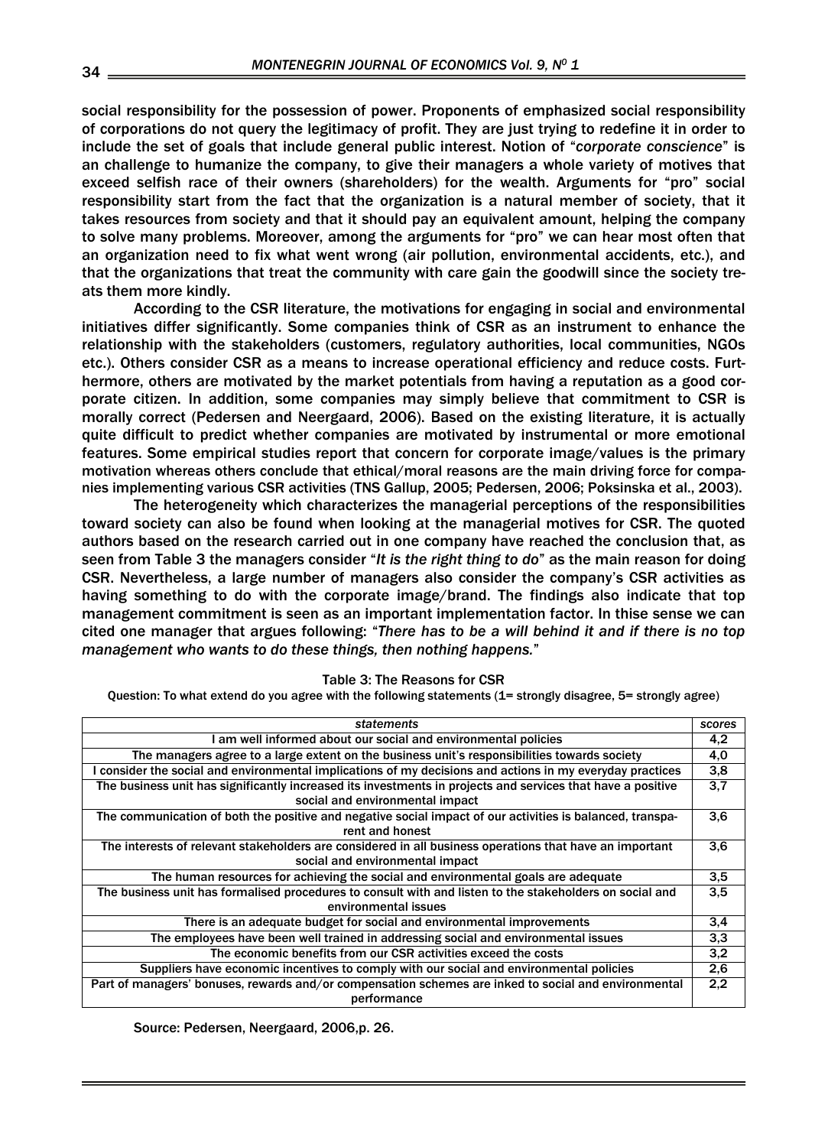social responsibility for the possession of power. Proponents of emphasized social responsibility of corporations do not query the legitimacy of profit. They are just trying to redefine it in order to include the set of goals that include general public interest. Notion of "*corporate conscience*" is an challenge to humanize the company, to give their managers a whole variety of motives that exceed selfish race of their owners (shareholders) for the wealth. Arguments for "pro" social responsibility start from the fact that the organization is a natural member of society, that it takes resources from society and that it should pay an equivalent amount, helping the company to solve many problems. Moreover, among the arguments for "pro" we can hear most often that an organization need to fix what went wrong (air pollution, environmental accidents, etc.), and that the organizations that treat the community with care gain the goodwill since the society treats them more kindly.

 According to the CSR literature, the motivations for engaging in social and environmental initiatives differ significantly. Some companies think of CSR as an instrument to enhance the relationship with the stakeholders (customers, regulatory authorities, local communities, NGOs etc.). Others consider CSR as a means to increase operational efficiency and reduce costs. Furthermore, others are motivated by the market potentials from having a reputation as a good corporate citizen. In addition, some companies may simply believe that commitment to CSR is morally correct (Pedersen and Neergaard, 2006). Based on the existing literature, it is actually quite difficult to predict whether companies are motivated by instrumental or more emotional features. Some empirical studies report that concern for corporate image/values is the primary motivation whereas others conclude that ethical/moral reasons are the main driving force for companies implementing various CSR activities (TNS Gallup, 2005; Pedersen, 2006; Poksinska et al., 2003).

 The heterogeneity which characterizes the managerial perceptions of the responsibilities toward society can also be found when looking at the managerial motives for CSR. The quoted authors based on the research carried out in one company have reached the conclusion that, as seen from Table 3 the managers consider "*It is the right thing to do*" as the main reason for doing CSR. Nevertheless, a large number of managers also consider the company's CSR activities as having something to do with the corporate image/brand. The findings also indicate that top management commitment is seen as an important implementation factor. In thise sense we can cited one manager that argues following: "*There has to be a will behind it and if there is no top management who wants to do these things, then nothing happens.*"

|  |  | Table 3: The Reasons for CSR |  |  |
|--|--|------------------------------|--|--|
|--|--|------------------------------|--|--|

Question: To what extend do you agree with the following statements (1= strongly disagree, 5= strongly agree)

| <b>statements</b>                                                                                           | scores |  |  |
|-------------------------------------------------------------------------------------------------------------|--------|--|--|
| I am well informed about our social and environmental policies                                              |        |  |  |
| The managers agree to a large extent on the business unit's responsibilities towards society                |        |  |  |
| I consider the social and environmental implications of my decisions and actions in my everyday practices   |        |  |  |
| The business unit has significantly increased its investments in projects and services that have a positive |        |  |  |
| social and environmental impact                                                                             |        |  |  |
| The communication of both the positive and negative social impact of our activities is balanced, transpa-   |        |  |  |
| rent and honest                                                                                             |        |  |  |
| The interests of relevant stakeholders are considered in all business operations that have an important     | 3,6    |  |  |
| social and environmental impact                                                                             |        |  |  |
| The human resources for achieving the social and environmental goals are adequate                           | 3,5    |  |  |
| The business unit has formalised procedures to consult with and listen to the stakeholders on social and    |        |  |  |
| environmental issues                                                                                        |        |  |  |
| There is an adequate budget for social and environmental improvements                                       | 3,4    |  |  |
| The employees have been well trained in addressing social and environmental issues                          |        |  |  |
| The economic benefits from our CSR activities exceed the costs                                              | 3,2    |  |  |
| Suppliers have economic incentives to comply with our social and environmental policies                     | 2,6    |  |  |
| Part of managers' bonuses, rewards and/or compensation schemes are inked to social and environmental        |        |  |  |
| performance                                                                                                 |        |  |  |

Source: Pedersen, Neergaard, 2006,p. 26.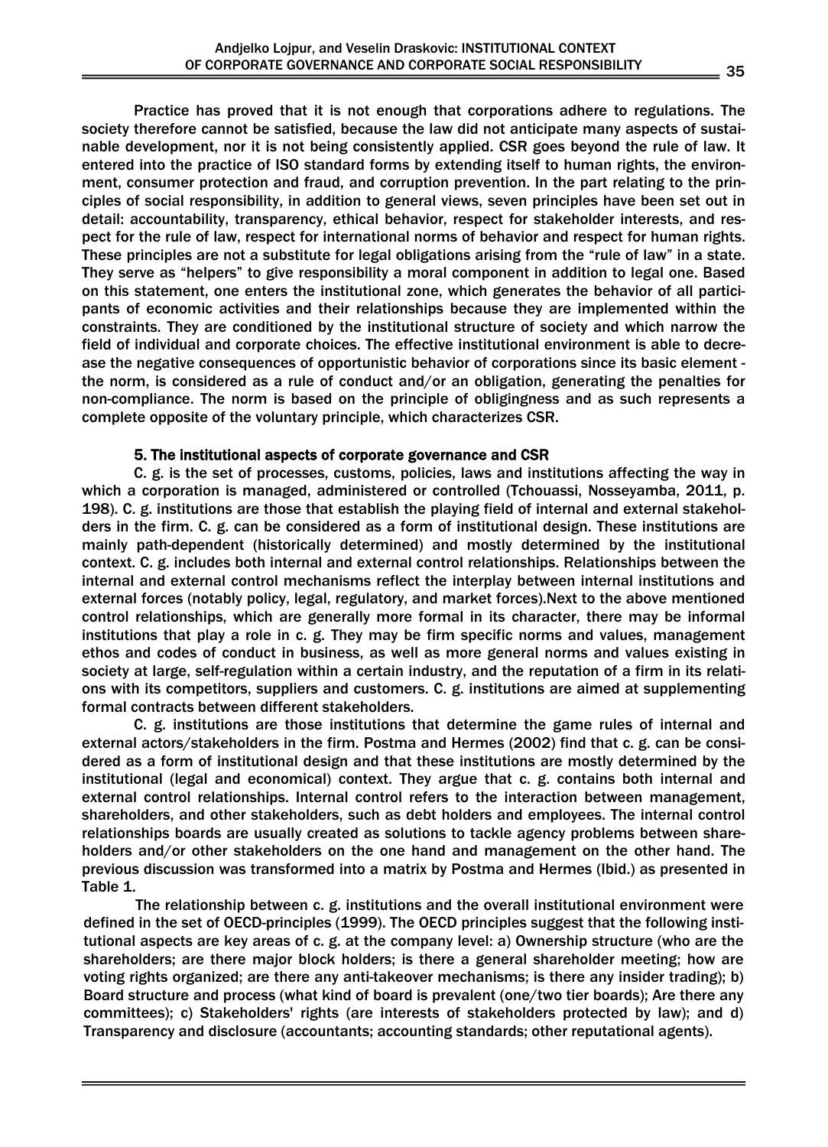Practice has proved that it is not enough that corporations adhere to regulations. The society therefore cannot be satisfied, because the law did not anticipate many aspects of sustainable development, nor it is not being consistently applied. CSR goes beyond the rule of law. It entered into the practice of ISO standard forms by extending itself to human rights, the environment, consumer protection and fraud, and corruption prevention. In the part relating to the principles of social responsibility, in addition to general views, seven principles have been set out in detail: accountability, transparency, ethical behavior, respect for stakeholder interests, and respect for the rule of law, respect for international norms of behavior and respect for human rights. These principles are not a substitute for legal obligations arising from the "rule of law" in a state. They serve as "helpers" to give responsibility a moral component in addition to legal one. Based on this statement, one enters the institutional zone, which generates the behavior of all participants of economic activities and their relationships because they are implemented within the constraints. They are conditioned by the institutional structure of society and which narrow the field of individual and corporate choices. The effective institutional environment is able to decrease the negative consequences of opportunistic behavior of corporations since its basic element the norm, is considered as a rule of conduct and/or an obligation, generating the penalties for non-compliance. The norm is based on the principle of obligingness and as such represents a complete opposite of the voluntary principle, which characterizes CSR.

## 5. The institutional aspects of corporate governance and CSR

C. g. is the set of processes, customs, policies, laws and institutions affecting the way in which a corporation is managed, administered or controlled (Tchouassi, Nosseyamba, 2011, p. 198). C. g. institutions are those that establish the playing field of internal and external stakeholders in the firm. C. g. can be considered as a form of institutional design. These institutions are mainly path-dependent (historically determined) and mostly determined by the institutional context. C. g. includes both internal and external control relationships. Relationships between the internal and external control mechanisms reflect the interplay between internal institutions and external forces (notably policy, legal, regulatory, and market forces).Next to the above mentioned control relationships, which are generally more formal in its character, there may be informal institutions that play a role in c. g. They may be firm specific norms and values, management ethos and codes of conduct in business, as well as more general norms and values existing in society at large, self-regulation within a certain industry, and the reputation of a firm in its relations with its competitors, suppliers and customers. C. g. institutions are aimed at supplementing formal contracts between different stakeholders.

C. g. institutions are those institutions that determine the game rules of internal and external actors/stakeholders in the firm. Postma and Hermes (2002) find that c. g. can be considered as a form of institutional design and that these institutions are mostly determined by the institutional (legal and economical) context. They argue that c. g. contains both internal and external control relationships. Internal control refers to the interaction between management, shareholders, and other stakeholders, such as debt holders and employees. The internal control relationships boards are usually created as solutions to tackle agency problems between shareholders and/or other stakeholders on the one hand and management on the other hand. The previous discussion was transformed into a matrix by Postma and Hermes (Ibid.) as presented in Table 1.

The relationship between c. g. institutions and the overall institutional environment were defined in the set of OECD-principles (1999). The OECD principles suggest that the following institutional aspects are key areas of c. g. at the company level: a) Ownership structure (who are the shareholders; are there major block holders; is there a general shareholder meeting; how are voting rights organized; are there any anti-takeover mechanisms; is there any insider trading); b) Board structure and process (what kind of board is prevalent (one/two tier boards); Are there any committees); c) Stakeholders' rights (are interests of stakeholders protected by law); and d) Transparency and disclosure (accountants; accounting standards; other reputational agents).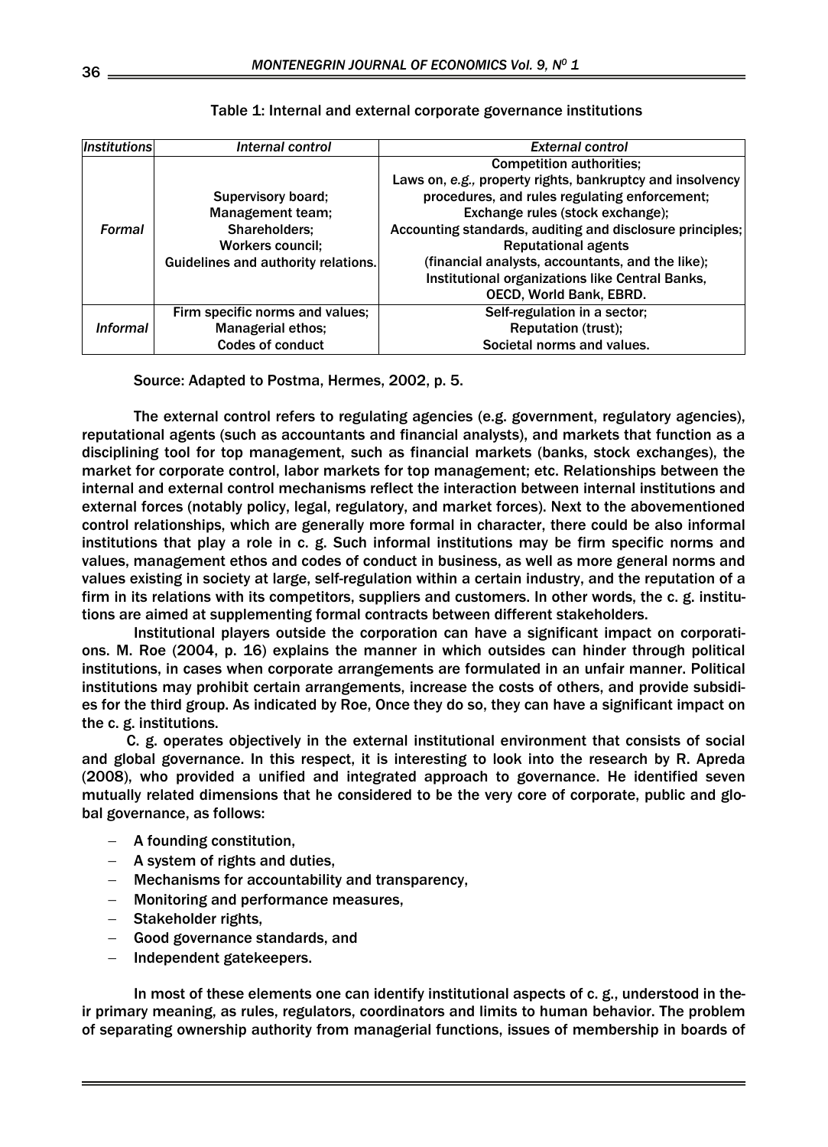| <i><b>Institutions</b></i> | Internal control                    | <b>External control</b>                                   |  |
|----------------------------|-------------------------------------|-----------------------------------------------------------|--|
|                            |                                     | <b>Competition authorities;</b>                           |  |
|                            |                                     | Laws on, e.g., property rights, bankruptcy and insolvency |  |
|                            | Supervisory board;                  | procedures, and rules regulating enforcement;             |  |
|                            | Management team;                    | Exchange rules (stock exchange);                          |  |
| <b>Formal</b>              | Shareholders;                       | Accounting standards, auditing and disclosure principles; |  |
|                            | <b>Workers council;</b>             | <b>Reputational agents</b>                                |  |
|                            | Guidelines and authority relations. | (financial analysts, accountants, and the like);          |  |
|                            |                                     | Institutional organizations like Central Banks,           |  |
|                            |                                     | OECD, World Bank, EBRD.                                   |  |
|                            | Firm specific norms and values;     | Self-regulation in a sector;                              |  |
| <b>Informal</b>            | <b>Managerial ethos;</b>            | <b>Reputation (trust);</b>                                |  |
|                            | <b>Codes of conduct</b>             | Societal norms and values.                                |  |

# Table 1: Internal and external corporate governance institutions

Source: Adapted to Postma, Hermes, 2002, p. 5.

The external control refers to regulating agencies (e.g. government, regulatory agencies), reputational agents (such as accountants and financial analysts), and markets that function as a disciplining tool for top management, such as financial markets (banks, stock exchanges), the market for corporate control, labor markets for top management; etc. Relationships between the internal and external control mechanisms reflect the interaction between internal institutions and external forces (notably policy, legal, regulatory, and market forces). Next to the abovementioned control relationships, which are generally more formal in character, there could be also informal institutions that play a role in c. g. Such informal institutions may be firm specific norms and values, management ethos and codes of conduct in business, as well as more general norms and values existing in society at large, self-regulation within a certain industry, and the reputation of a firm in its relations with its competitors, suppliers and customers. In other words, the c. g. institutions are aimed at supplementing formal contracts between different stakeholders.

Institutional players outside the corporation can have a significant impact on corporations. M. Roe (2004, p. 16) explains the manner in which outsides can hinder through political institutions, in cases when corporate arrangements are formulated in an unfair manner. Political institutions may prohibit certain arrangements, increase the costs of others, and provide subsidies for the third group. As indicated by Roe, Once they do so, they can have a significant impact on the c. g. institutions.

C. g. operates objectively in the external institutional environment that consists of social and global governance. In this respect, it is interesting to look into the research by R. Apreda (2008), who provided a unified and integrated approach to governance. He identified seven mutually related dimensions that he considered to be the very core of corporate, public and global governance, as follows:

- − A founding constitution,
- − A system of rights and duties,
- − Mechanisms for accountability and transparency,
- − Monitoring and performance measures,
- − Stakeholder rights,
- − Good governance standards, and
- − Independent gatekeepers.

In most of these elements one can identify institutional aspects of c. g., understood in their primary meaning, as rules, regulators, coordinators and limits to human behavior. The problem of separating ownership authority from managerial functions, issues of membership in boards of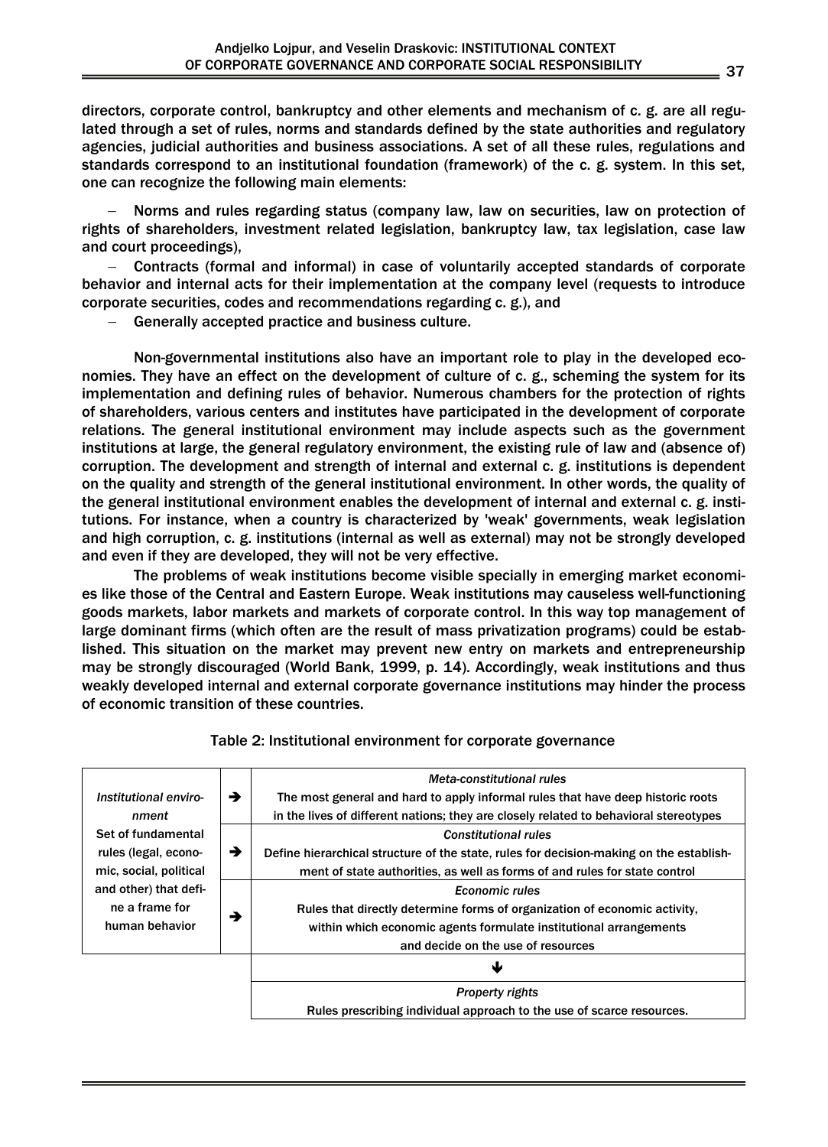directors, corporate control, bankruptcy and other elements and mechanism of c. g. are all regulated through a set of rules, norms and standards defined by the state authorities and regulatory agencies, judicial authorities and business associations. A set of all these rules, regulations and standards correspond to an institutional foundation (framework) of the c. g. system. In this set, one can recognize the following main elements:

Norms and rules regarding status (company law, law on securities, law on protection of rights of shareholders, investment related legislation, bankruptcy law, tax legislation, case law and court proceedings),

− Contracts (formal and informal) in case of voluntarily accepted standards of corporate behavior and internal acts for their implementation at the company level (requests to introduce corporate securities, codes and recommendations regarding c. g.), and

Generally accepted practice and business culture.

Non-governmental institutions also have an important role to play in the developed economies. They have an effect on the development of culture of c. g., scheming the system for its implementation and defining rules of behavior. Numerous chambers for the protection of rights of shareholders, various centers and institutes have participated in the development of corporate relations. The general institutional environment may include aspects such as the government institutions at large, the general regulatory environment, the existing rule of law and (absence of) corruption. The development and strength of internal and external c. g. institutions is dependent on the quality and strength of the general institutional environment. In other words, the quality of the general institutional environment enables the development of internal and external c. g. institutions. For instance, when a country is characterized by 'weak' governments, weak legislation and high corruption, c. g. institutions (internal as well as external) may not be strongly developed and even if they are developed, they will not be very effective.

The problems of weak institutions become visible specially in emerging market economies like those of the Central and Eastern Europe. Weak institutions may causeless well-functioning goods markets, labor markets and markets of corporate control. In this way top management of large dominant firms (which often are the result of mass privatization programs) could be established. This situation on the market may prevent new entry on markets and entrepreneurship may be strongly discouraged (World Bank, 1999, p. 14). Accordingly, weak institutions and thus weakly developed internal and external corporate governance institutions may hinder the process of economic transition of these countries.

|                                                 |   | Meta-constitutional rules                                                               |  |
|-------------------------------------------------|---|-----------------------------------------------------------------------------------------|--|
| Institutional enviro-                           | → | The most general and hard to apply informal rules that have deep historic roots         |  |
| nment                                           |   | in the lives of different nations; they are closely related to behavioral stereotypes   |  |
| Set of fundamental<br>→<br>rules (legal, econo- |   | <b>Constitutional rules</b>                                                             |  |
|                                                 |   | Define hierarchical structure of the state, rules for decision-making on the establish- |  |
| mic, social, political                          |   | ment of state authorities, as well as forms of and rules for state control              |  |
| and other) that defi-                           |   | <b>Economic rules</b>                                                                   |  |
| ne a frame for                                  | → | Rules that directly determine forms of organization of economic activity,               |  |
| human behavior                                  |   | within which economic agents formulate institutional arrangements                       |  |
|                                                 |   | and decide on the use of resources                                                      |  |
|                                                 |   | Ψ                                                                                       |  |
|                                                 |   | <b>Property rights</b>                                                                  |  |
|                                                 |   | Rules prescribing individual approach to the use of scarce resources.                   |  |

# Table 2: Institutional environment for corporate governance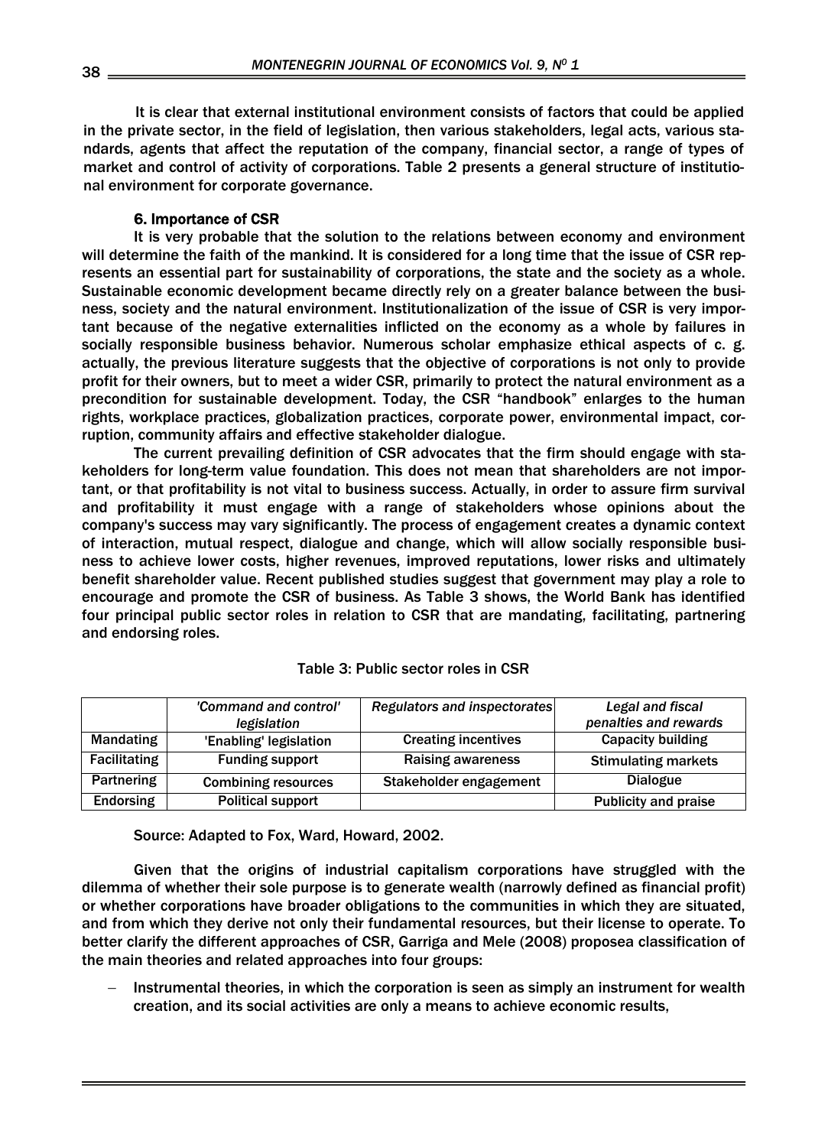It is clear that external institutional environment consists of factors that could be applied in the private sector, in the field of legislation, then various stakeholders, legal acts, various standards, agents that affect the reputation of the company, financial sector, a range of types of market and control of activity of corporations. Table 2 presents a general structure of institutional environment for corporate governance.

# 6. Importance of CSR

It is very probable that the solution to the relations between economy and environment will determine the faith of the mankind. It is considered for a long time that the issue of CSR represents an essential part for sustainability of corporations, the state and the society as a whole. Sustainable economic development became directly rely on a greater balance between the business, society and the natural environment. Institutionalization of the issue of CSR is very important because of the negative externalities inflicted on the economy as a whole by failures in socially responsible business behavior. Numerous scholar emphasize ethical aspects of c. g. actually, the previous literature suggests that the objective of corporations is not only to provide profit for their owners, but to meet a wider CSR, primarily to protect the natural environment as a precondition for sustainable development. Today, the CSR "handbook" enlarges to the human rights, workplace practices, globalization practices, corporate power, environmental impact, corruption, community affairs and effective stakeholder dialogue.

The current prevailing definition of CSR advocates that the firm should engage with stakeholders for long-term value foundation. This does not mean that shareholders are not important, or that profitability is not vital to business success. Actually, in order to assure firm survival and profitability it must engage with a range of stakeholders whose opinions about the company's success may vary significantly. The process of engagement creates a dynamic context of interaction, mutual respect, dialogue and change, which will allow socially responsible business to achieve lower costs, higher revenues, improved reputations, lower risks and ultimately benefit shareholder value. Recent published studies suggest that government may play a role to encourage and promote the CSR of business. As Table 3 shows, the World Bank has identified four principal public sector roles in relation to CSR that are mandating, facilitating, partnering and endorsing roles.

|                     | 'Command and control'      | <b>Regulators and inspectorates</b> | Legal and fiscal            |
|---------------------|----------------------------|-------------------------------------|-----------------------------|
|                     | legislation                |                                     | penalties and rewards       |
| Mandating           | 'Enabling' legislation     | <b>Creating incentives</b>          | <b>Capacity building</b>    |
| <b>Facilitating</b> | <b>Funding support</b>     | <b>Raising awareness</b>            | <b>Stimulating markets</b>  |
| Partnering          | <b>Combining resources</b> | Stakeholder engagement              | <b>Dialogue</b>             |
| <b>Endorsing</b>    | <b>Political support</b>   |                                     | <b>Publicity and praise</b> |

## Table 3: Public sector roles in CSR

Source: Adapted to Fox, Ward, Howard, 2002.

Given that the origins of industrial capitalism corporations have struggled with the dilemma of whether their sole purpose is to generate wealth (narrowly defined as financial profit) or whether corporations have broader obligations to the communities in which they are situated, and from which they derive not only their fundamental resources, but their license to operate. To better clarify the different approaches of CSR, Garriga and Mele (2008) proposea classification of the main theories and related approaches into four groups:

Instrumental theories, in which the corporation is seen as simply an instrument for wealth creation, and its social activities are only a means to achieve economic results,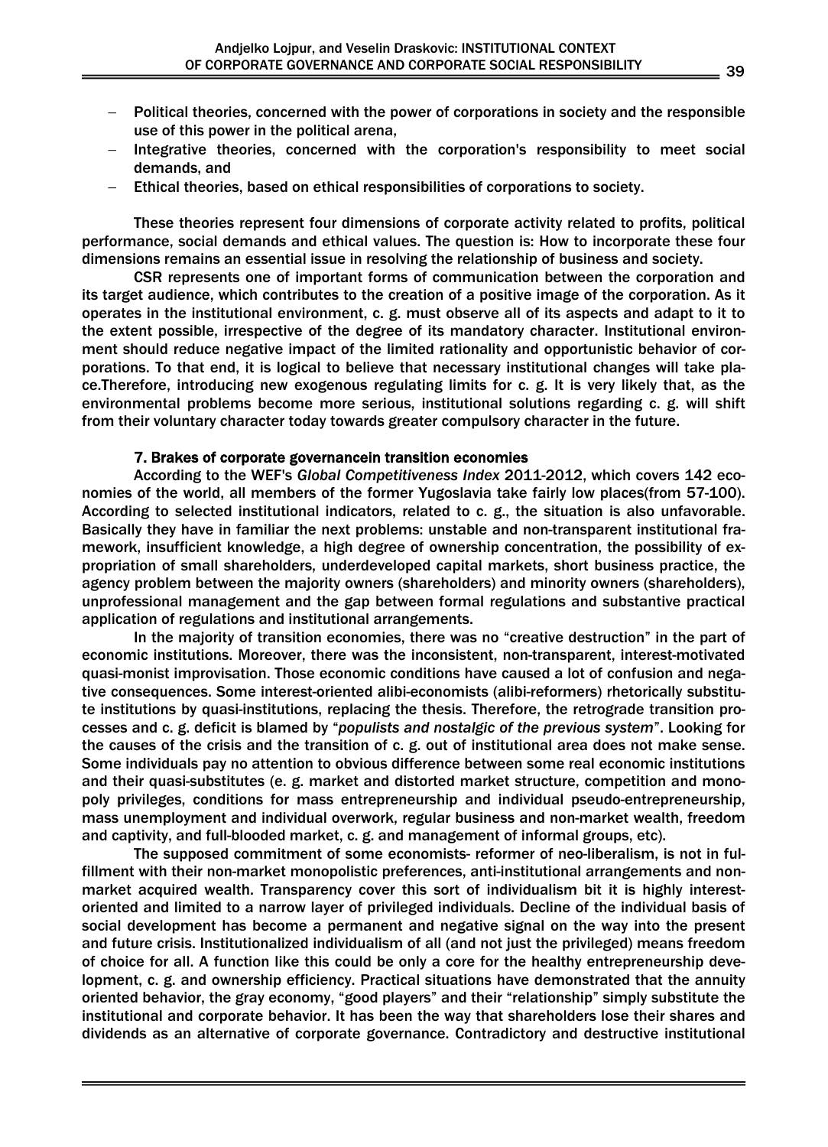- − Political theories, concerned with the power of corporations in society and the responsible use of this power in the political arena,
- Integrative theories, concerned with the corporation's responsibility to meet social demands, and
- Ethical theories, based on ethical responsibilities of corporations to society.

These theories represent four dimensions of corporate activity related to profits, political performance, social demands and ethical values. The question is: How to incorporate these four dimensions remains an essential issue in resolving the relationship of business and society.

CSR represents one of important forms of communication between the corporation and its target audience, which contributes to the creation of a positive image of the corporation. As it operates in the institutional environment, c. g. must observe all of its aspects and adapt to it to the extent possible, irrespective of the degree of its mandatory character. Institutional environment should reduce negative impact of the limited rationality and opportunistic behavior of corporations. To that end, it is logical to believe that necessary institutional changes will take place.Therefore, introducing new exogenous regulating limits for c. g. It is very likely that, as the environmental problems become more serious, institutional solutions regarding c. g. will shift from their voluntary character today towards greater compulsory character in the future.

# 7. Brakes of corporate governancein transition economies

According to the WEF's *Global Competitiveness Index* 2011-2012, which covers 142 economies of the world, all members of the former Yugoslavia take fairly low places(from 57-100). According to selected institutional indicators, related to c. g., the situation is also unfavorable. Basically they have in familiar the next problems: unstable and non-transparent institutional framework, insufficient knowledge, a high degree of ownership concentration, the possibility of expropriation of small shareholders, underdeveloped capital markets, short business practice, the agency problem between the majority owners (shareholders) and minority owners (shareholders), unprofessional management and the gap between formal regulations and substantive practical application of regulations and institutional arrangements.

In the majority of transition economies, there was no "creative destruction" in the part of economic institutions. Moreover, there was the inconsistent, non-transparent, interest-motivated quasi-monist improvisation. Those economic conditions have caused a lot of confusion and negative consequences. Some interest-oriented alibi-economists (alibi-reformers) rhetorically substitute institutions by quasi-institutions, replacing the thesis. Therefore, the retrograde transition processes and c. g. deficit is blamed by "*populists and nostalgic of the previous system*". Looking for the causes of the crisis and the transition of c. g. out of institutional area does not make sense. Some individuals pay no attention to obvious difference between some real economic institutions and their quasi-substitutes (e. g. market and distorted market structure, competition and monopoly privileges, conditions for mass entrepreneurship and individual pseudo-entrepreneurship, mass unemployment and individual overwork, regular business and non-market wealth, freedom and captivity, and full-blooded market, c. g. and management of informal groups, etc).

The supposed commitment of some economists- reformer of neo-liberalism, is not in fulfillment with their non-market monopolistic preferences, anti-institutional arrangements and nonmarket acquired wealth. Transparency cover this sort of individualism bit it is highly interestoriented and limited to a narrow layer of privileged individuals. Decline of the individual basis of social development has become a permanent and negative signal on the way into the present and future crisis. Institutionalized individualism of all (and not just the privileged) means freedom of choice for all. A function like this could be only a core for the healthy entrepreneurship development, c. g. and ownership efficiency. Practical situations have demonstrated that the annuity oriented behavior, the gray economy, "good players" and their "relationship" simply substitute the institutional and corporate behavior. It has been the way that shareholders lose their shares and dividends as an alternative of corporate governance. Contradictory and destructive institutional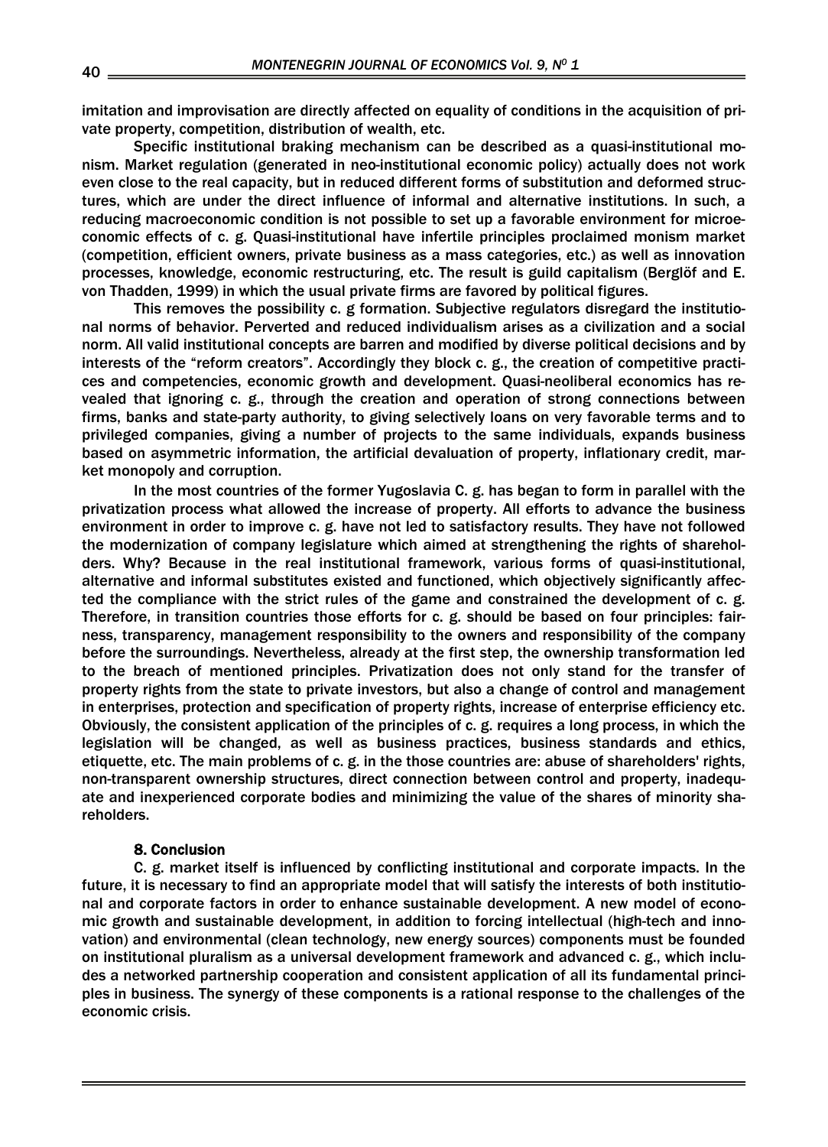imitation and improvisation are directly affected on equality of conditions in the acquisition of private property, competition, distribution of wealth, etc.

Specific institutional braking mechanism can be described as a quasi-institutional monism. Market regulation (generated in neo-institutional economic policy) actually does not work even close to the real capacity, but in reduced different forms of substitution and deformed structures, which are under the direct influence of informal and alternative institutions. In such, a reducing macroeconomic condition is not possible to set up a favorable environment for microeconomic effects of c. g. Quasi-institutional have infertile principles proclaimed monism market (competition, efficient owners, private business as a mass categories, etc.) as well as innovation processes, knowledge, economic restructuring, etc. The result is guild capitalism (Berglöf and E. von Thadden, 1999) in which the usual private firms are favored by political figures.

This removes the possibility c. g formation. Subjective regulators disregard the institutional norms of behavior. Perverted and reduced individualism arises as a civilization and a social norm. All valid institutional concepts are barren and modified by diverse political decisions and by interests of the "reform creators". Accordingly they block c. g., the creation of competitive practices and competencies, economic growth and development. Quasi-neoliberal economics has revealed that ignoring c. g., through the creation and operation of strong connections between firms, banks and state-party authority, to giving selectively loans on very favorable terms and to privileged companies, giving a number of projects to the same individuals, expands business based on asymmetric information, the artificial devaluation of property, inflationary credit, market monopoly and corruption.

In the most countries of the former Yugoslavia C. g. has began to form in parallel with the privatization process what allowed the increase of property. All efforts to advance the business environment in order to improve c. g. have not led to satisfactory results. They have not followed the modernization of company legislature which aimed at strengthening the rights of shareholders. Why? Because in the real institutional framework, various forms of quasi-institutional, alternative and informal substitutes existed and functioned, which objectively significantly affected the compliance with the strict rules of the game and constrained the development of c. g. Therefore, in transition countries those efforts for c. g. should be based on four principles: fairness, transparency, management responsibility to the owners and responsibility of the company before the surroundings. Nevertheless, already at the first step, the ownership transformation led to the breach of mentioned principles. Privatization does not only stand for the transfer of property rights from the state to private investors, but also a change of control and management in enterprises, protection and specification of property rights, increase of enterprise efficiency etc. Obviously, the consistent application of the principles of c. g. requires a long process, in which the legislation will be changed, as well as business practices, business standards and ethics, etiquette, etc. The main problems of c. g. in the those countries are: abuse of shareholders' rights, non-transparent ownership structures, direct connection between control and property, inadequate and inexperienced corporate bodies and minimizing the value of the shares of minority shareholders.

#### 8. Conclusion

C. g. market itself is influenced by conflicting institutional and corporate impacts. In the future, it is necessary to find an appropriate model that will satisfy the interests of both institutional and corporate factors in order to enhance sustainable development. A new model of economic growth and sustainable development, in addition to forcing intellectual (high-tech and innovation) and environmental (clean technology, new energy sources) components must be founded on institutional pluralism as a universal development framework and advanced c. g., which includes a networked partnership cooperation and consistent application of all its fundamental principles in business. The synergy of these components is a rational response to the challenges of the economic crisis.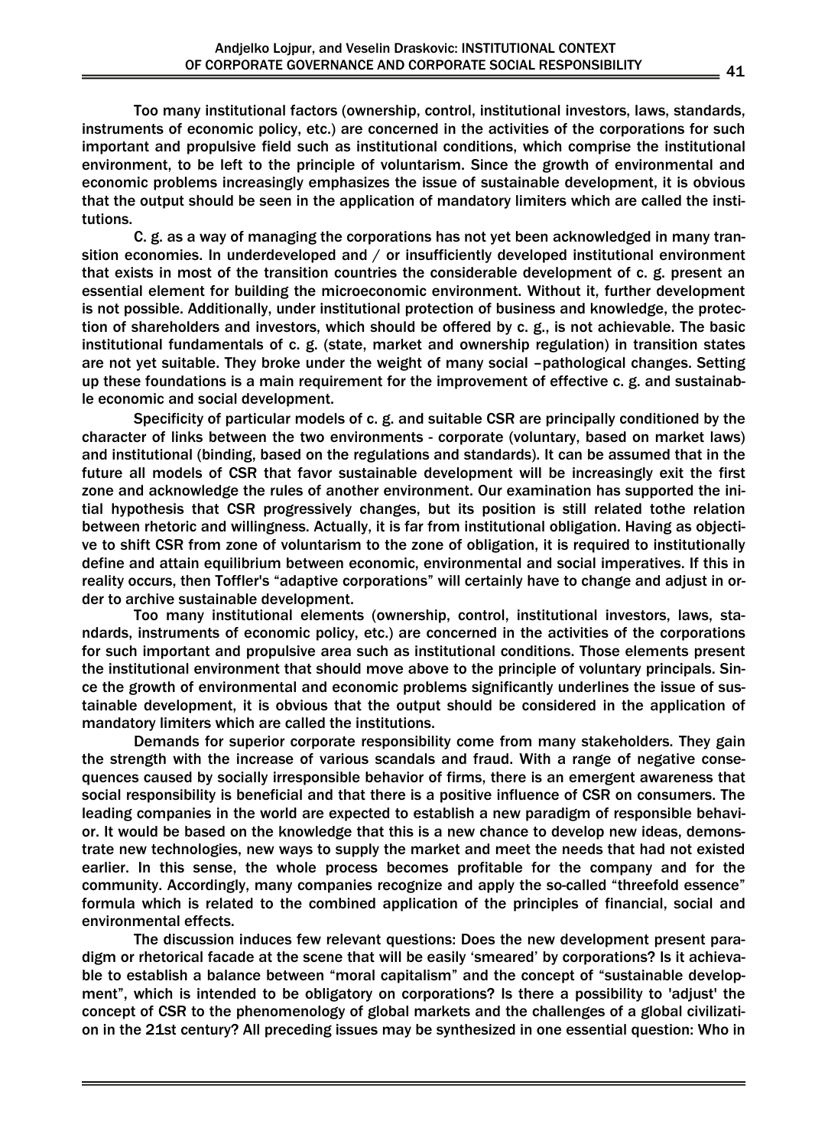Too many institutional factors (ownership, control, institutional investors, laws, standards, instruments of economic policy, etc.) are concerned in the activities of the corporations for such important and propulsive field such as institutional conditions, which comprise the institutional environment, to be left to the principle of voluntarism. Since the growth of environmental and economic problems increasingly emphasizes the issue of sustainable development, it is obvious that the output should be seen in the application of mandatory limiters which are called the institutions.

C. g. as a way of managing the corporations has not yet been acknowledged in many transition economies. In underdeveloped and / or insufficiently developed institutional environment that exists in most of the transition countries the considerable development of c. g. present an essential element for building the microeconomic environment. Without it, further development is not possible. Additionally, under institutional protection of business and knowledge, the protection of shareholders and investors, which should be offered by c. g., is not achievable. The basic institutional fundamentals of c. g. (state, market and ownership regulation) in transition states are not yet suitable. They broke under the weight of many social –pathological changes. Setting up these foundations is a main requirement for the improvement of effective c. g. and sustainable economic and social development.

Specificity of particular models of c. g. and suitable CSR are principally conditioned by the character of links between the two environments - corporate (voluntary, based on market laws) and institutional (binding, based on the regulations and standards). It can be assumed that in the future all models of CSR that favor sustainable development will be increasingly exit the first zone and acknowledge the rules of another environment. Our examination has supported the initial hypothesis that CSR progressively changes, but its position is still related tothe relation between rhetoric and willingness. Actually, it is far from institutional obligation. Having as objective to shift CSR from zone of voluntarism to the zone of obligation, it is required to institutionally define and attain equilibrium between economic, environmental and social imperatives. If this in reality occurs, then Toffler's "adaptive corporations" will certainly have to change and adjust in order to archive sustainable development.

Too many institutional elements (ownership, control, institutional investors, laws, standards, instruments of economic policy, etc.) are concerned in the activities of the corporations for such important and propulsive area such as institutional conditions. Those elements present the institutional environment that should move above to the principle of voluntary principals. Since the growth of environmental and economic problems significantly underlines the issue of sustainable development, it is obvious that the output should be considered in the application of mandatory limiters which are called the institutions.

Demands for superior corporate responsibility come from many stakeholders. They gain the strength with the increase of various scandals and fraud. With a range of negative consequences caused by socially irresponsible behavior of firms, there is an emergent awareness that social responsibility is beneficial and that there is a positive influence of CSR on consumers. The leading companies in the world are expected to establish a new paradigm of responsible behavior. It would be based on the knowledge that this is a new chance to develop new ideas, demonstrate new technologies, new ways to supply the market and meet the needs that had not existed earlier. In this sense, the whole process becomes profitable for the company and for the community. Accordingly, many companies recognize and apply the so-called "threefold essence" formula which is related to the combined application of the principles of financial, social and environmental effects.

The discussion induces few relevant questions: Does the new development present paradigm or rhetorical facade at the scene that will be easily 'smeared' by corporations? Is it achievable to establish a balance between "moral capitalism" and the concept of "sustainable development", which is intended to be obligatory on corporations? Is there a possibility to 'adjust' the concept of CSR to the phenomenology of global markets and the challenges of a global civilization in the 21st century? All preceding issues may be synthesized in one essential question: Who in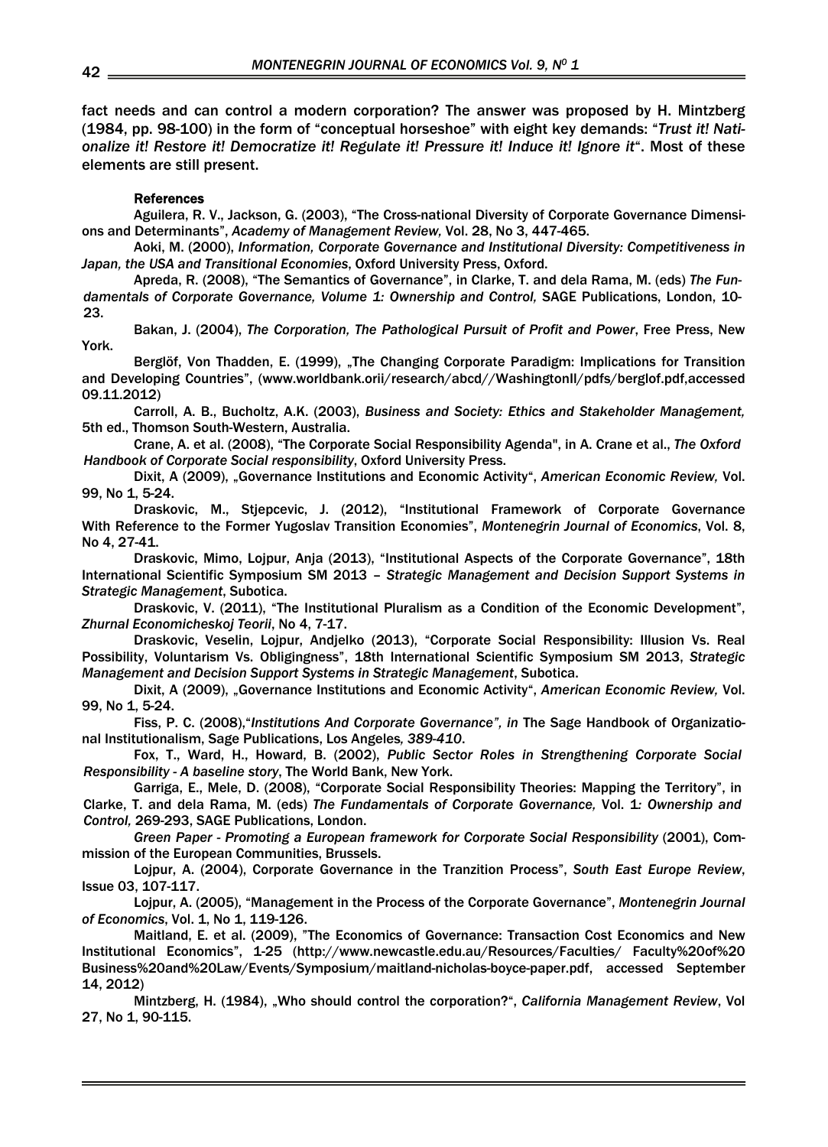fact needs and can control a modern corporation? The answer was proposed by H. Mintzberg (1984, pp. 98-100) in the form of "conceptual horseshoe" with eight key demands: "*Trust it! Nationalize it! Restore it! Democratize it! Regulate it! Pressure it! Induce it! Ignore it*". Most of these elements are still present.

#### References

Aguilera, R. V., Jackson, G. (2003), "The Cross-national Diversity of Corporate Governance Dimensions and Determinants", *Academy of Management Review,* Vol. 28, No 3, 447-465.

Aoki, M. (2000), *Information, Corporate Governance and Institutional Diversity: Competitiveness in Japan, the USA and Transitional Economies*, Oxford University Press, Oxford.

Apreda, R. (2008), "The Semantics of Governance", in Clarke, T. and dela Rama, M. (eds) *The Fundamentals of Corporate Governance, Volume 1: Ownership and Control,* SAGE Publications, London, 10- 23.

Bakan, J. (2004), *The Corporation, The Pathological Pursuit of Profit and Power*, Free Press, New York.

Berglöf, Von Thadden, E. (1999), The Changing Corporate Paradigm: Implications for Transition and Developing Countries", (www.worldbank.orii/research/abcd//WashingtonIl/pdfs/berglof.pdf,accessed 09.11.2012)

Carroll, A. B., Bucholtz, A.K. (2003), *Business and Society: Ethics and Stakeholder Management,*  5th ed., Thomson South-Western, Australia.

Crane, A. et al. (2008), "The Corporate Social Responsibility Agenda", in A. Crane et al., *The Oxford Handbook of Corporate Social responsibility*, Oxford University Press.

Dixit, A (2009), "Governance Institutions and Economic Activity", *American Economic Review,* Vol. 99, No 1, 5-24.

Draskovic, M., Stjepcevic, J. (2012), "Institutional Framework of Corporate Governance With Reference to the Former Yugoslav Transition Economies", *Montenegrin Journal of Economics*, Vol. 8, No 4, 27-41.

Draskovic, Mimo, Lojpur, Anja (2013), "Institutional Aspects of the Corporate Governance", 18th International Scientific Symposium SM 2013 – *Strategic Management and Decision Support Systems in Strategic Management*, Subotica.

Draskovic, V. (2011), "The Institutional Pluralism as a Condition of the Economic Development", *Zhurnal Economicheskoj Teorii*, No 4, 7-17.

Draskovic, Veselin, Lojpur, Andjelko (2013), "Corporate Social Responsibility: Illusion Vs. Real Possibility, Voluntarism Vs. Obligingness", 18th International Scientific Symposium SM 2013, *Strategic Management and Decision Support Systems in Strategic Management*, Subotica.

Dixit, A (2009), "Governance Institutions and Economic Activity", *American Economic Review,* Vol. 99, No 1, 5-24.

Fiss, P. C. (2008),"*Institutions And Corporate Governance", in* The Sage Handbook of Organizational Institutionalism, Sage Publications, Los Angeles*, 389-410*.

Fox, T., Ward, H., Howard, B. (2002), *Public Sector Roles in Strengthening Corporate Social Responsibility - A baseline story*, The World Bank, New York.

Garriga, E., Mele, D. (2008), "Corporate Social Responsibility Theories: Mapping the Territory", in Clarke, T. and dela Rama, M. (eds) *The Fundamentals of Corporate Governance,* Vol. 1*: Ownership and Control,* 269-293, SAGE Publications, London.

*Green Paper - Promoting a European framework for Corporate Social Responsibility* (2001), Commission of the European Communities, Brussels.

Lojpur, A. (2004), Corporate Governance in the Tranzition Process", *South East Europe Review*, Issue 03, 107-117.

Lojpur, A. (2005), "Management in the Process of the Corporate Governance", *Montenegrin Journal of Economics*, Vol. 1, No 1, 119-126.

Maitland, E. et al. (2009), "The Economics of Governance: Transaction Cost Economics and New Institutional Economics", 1-25 (http://www.newcastle.edu.au/Resources/Faculties/ Faculty%20of%20 Business%20and%20Law/Events/Symposium/maitland-nicholas-boyce-paper.pdf, accessed September 14, 2012)

Mintzberg, H. (1984), "Who should control the corporation?", *California Management Review*, Vol 27, No 1, 90-115.